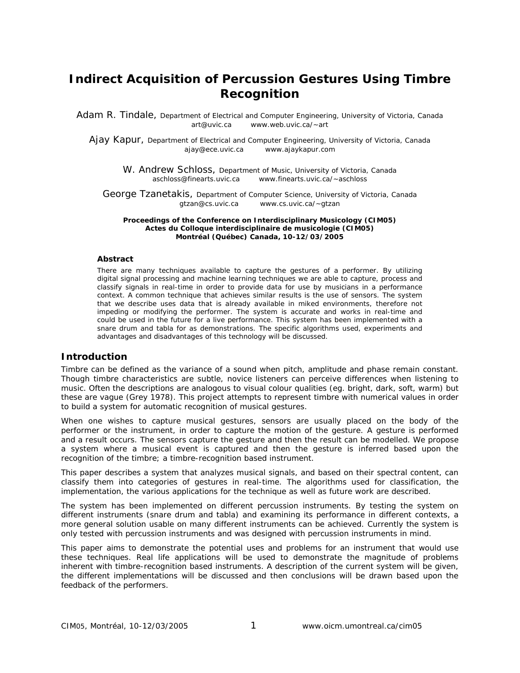# **Indirect Acquisition of Percussion Gestures Using Timbre Recognition**

Adam R. Tindale, Department of Electrical and Computer Engineering, University of Victoria, Canada art@uvic.ca www.web.uvic.ca/~art

Ajay Kapur, Department of Electrical and Computer Engineering, University of Victoria, Canada ajay@ece.uvic.ca www.ajaykapur.com

W. Andrew Schloss, Department of Music, University of Victoria, Canada aschloss@finearts.uvic.ca www.finearts.uvic.ca/~aschloss

George Tzanetakis, Department of Computer Science, University of Victoria, Canada gtzan@cs.uvic.ca www.cs.uvic.ca/~gtzan

**Proceedings of the Conference on Interdisciplinary Musicology (CIM05) Actes du Colloque interdisciplinaire de musicologie (CIM05) Montréal (Québec) Canada, 10-12/03/2005** 

#### **Abstract**

There are many techniques available to capture the gestures of a performer. By utilizing digital signal processing and machine learning techniques we are able to capture, process and classify signals in real-time in order to provide data for use by musicians in a performance context. A common technique that achieves similar results is the use of sensors. The system that we describe uses data that is already available in miked environments, therefore not impeding or modifying the performer. The system is accurate and works in real-time and could be used in the future for a live performance. This system has been implemented with a snare drum and tabla for as demonstrations. The specific algorithms used, experiments and advantages and disadvantages of this technology will be discussed.

#### **Introduction**

Timbre can be defined as the variance of a sound when pitch, amplitude and phase remain constant. Though timbre characteristics are subtle, novice listeners can perceive differences when listening to music. Often the descriptions are analogous to visual colour qualities (eg. bright, dark, soft, warm) but these are vague (Grey 1978). This project attempts to represent timbre with numerical values in order to build a system for automatic recognition of musical gestures.

When one wishes to capture musical gestures, sensors are usually placed on the body of the performer or the instrument, in order to capture the motion of the gesture. A gesture is performed and a result occurs. The sensors capture the gesture and then the result can be modelled. We propose a system where a musical event is captured and then the gesture is inferred based upon the recognition of the timbre; a timbre-recognition based instrument.

This paper describes a system that analyzes musical signals, and based on their spectral content, can classify them into categories of gestures in real-time. The algorithms used for classification, the implementation, the various applications for the technique as well as future work are described.

The system has been implemented on different percussion instruments. By testing the system on different instruments (snare drum and tabla) and examining its performance in different contexts, a more general solution usable on many different instruments can be achieved. Currently the system is only tested with percussion instruments and was designed with percussion instruments in mind.

This paper aims to demonstrate the potential uses and problems for an instrument that would use these techniques. Real life applications will be used to demonstrate the magnitude of problems inherent with timbre-recognition based instruments. A description of the current system will be given, the different implementations will be discussed and then conclusions will be drawn based upon the feedback of the performers.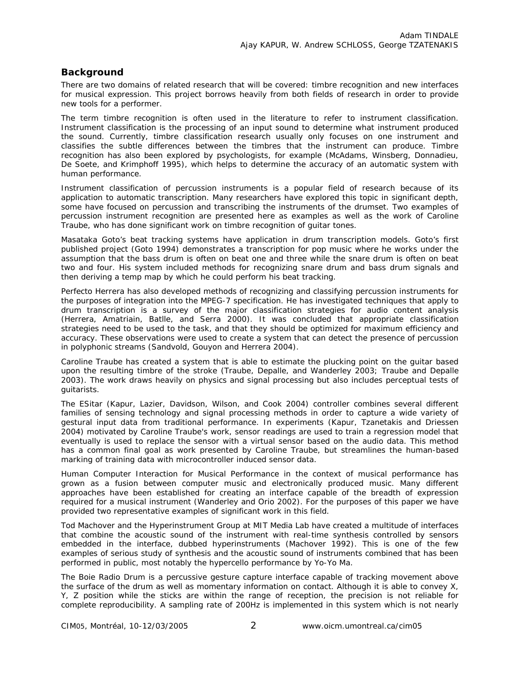## **Background**

There are two domains of related research that will be covered: timbre recognition and new interfaces for musical expression. This project borrows heavily from both fields of research in order to provide new tools for a performer.

The term *timbre recognition* is often used in the literature to refer to instrument classification. Instrument classification is the processing of an input sound to determine what instrument produced the sound. Currently, timbre classification research usually only focuses on one instrument and classifies the subtle differences between the timbres that the instrument can produce. Timbre recognition has also been explored by psychologists, for example (McAdams, Winsberg, Donnadieu, De Soete, and Krimphoff 1995), which helps to determine the accuracy of an automatic system with human performance.

Instrument classification of percussion instruments is a popular field of research because of its application to automatic transcription. Many researchers have explored this topic in significant depth, some have focused on percussion and transcribing the instruments of the drumset. Two examples of percussion instrument recognition are presented here as examples as well as the work of Caroline Traube, who has done significant work on timbre recognition of guitar tones.

Masataka Goto's beat tracking systems have application in drum transcription models. Goto's first published project (Goto 1994) demonstrates a transcription for pop music where he works under the assumption that the bass drum is often on beat one and three while the snare drum is often on beat two and four. His system included methods for recognizing snare drum and bass drum signals and then deriving a temp map by which he could perform his beat tracking.

Perfecto Herrera has also developed methods of recognizing and classifying percussion instruments for the purposes of integration into the MPEG-7 specification. He has investigated techniques that apply to drum transcription is a survey of the major classification strategies for audio content analysis (Herrera, Amatriain, Batlle, and Serra 2000). It was concluded that appropriate classification strategies need to be used to the task, and that they should be optimized for maximum efficiency and accuracy. These observations were used to create a system that can detect the presence of percussion in polyphonic streams (Sandvold, Gouyon and Herrera 2004).

Caroline Traube has created a system that is able to estimate the plucking point on the guitar based upon the resulting timbre of the stroke (Traube, Depalle, and Wanderley 2003; Traube and Depalle 2003). The work draws heavily on physics and signal processing but also includes perceptual tests of guitarists.

The ESitar (Kapur, Lazier, Davidson, Wilson, and Cook 2004) controller combines several different families of sensing technology and signal processing methods in order to capture a wide variety of gestural input data from traditional performance. In experiments (Kapur, Tzanetakis and Driessen 2004) motivated by Caroline Traube's work, sensor readings are used to train a regression model that eventually is used to replace the sensor with a virtual sensor based on the audio data. This method has a common final goal as work presented by Caroline Traube, but streamlines the human-based marking of training data with microcontroller induced sensor data.

Human Computer Interaction for Musical Performance in the context of musical performance has grown as a fusion between computer music and electronically produced music. Many different approaches have been established for creating an interface capable of the breadth of expression required for a musical instrument (Wanderley and Orio 2002). For the purposes of this paper we have provided two representative examples of significant work in this field.

Tod Machover and the Hyperinstrument Group at MIT Media Lab have created a multitude of interfaces that combine the acoustic sound of the instrument with real-time synthesis controlled by sensors embedded in the interface, dubbed hyperinstruments (Machover 1992). This is one of the few examples of serious study of synthesis and the acoustic sound of instruments combined that has been performed in public, most notably the hypercello performance by Yo-Yo Ma.

The Boie Radio Drum is a percussive gesture capture interface capable of tracking movement above the surface of the drum as well as momentary information on contact. Although it is able to convey X, Y, Z position while the sticks are within the range of reception, the precision is not reliable for complete reproducibility. A sampling rate of 200Hz is implemented in this system which is not nearly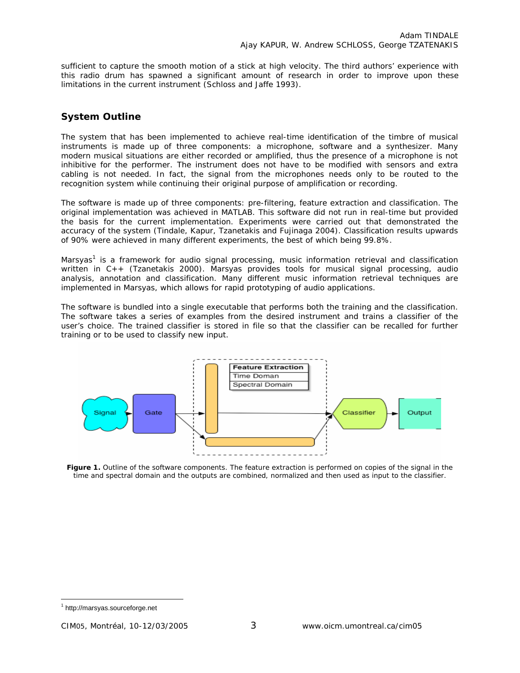sufficient to capture the smooth motion of a stick at high velocity. The third authors' experience with this radio drum has spawned a significant amount of research in order to improve upon these limitations in the current instrument (Schloss and Jaffe 1993).

# **System Outline**

The system that has been implemented to achieve real-time identification of the timbre of musical instruments is made up of three components: a microphone, software and a synthesizer. Many modern musical situations are either recorded or amplified, thus the presence of a microphone is not inhibitive for the performer. The instrument does not have to be modified with sensors and extra cabling is not needed. In fact, the signal from the microphones needs only to be routed to the recognition system while continuing their original purpose of amplification or recording.

The software is made up of three components: pre-filtering, feature extraction and classification. The original implementation was achieved in MATLAB. This software did not run in real-time but provided the basis for the current implementation. Experiments were carried out that demonstrated the accuracy of the system (Tindale, Kapur, Tzanetakis and Fujinaga 2004). Classification results upwards of 90% were achieved in many different experiments, the best of which being 99.8%.

Marsyas<sup>1</sup> is a framework for audio signal processing, music information retrieval and classification written in C++ (Tzanetakis 2000). Marsyas provides tools for musical signal processing, audio analysis, annotation and classification. Many different music information retrieval techniques are implemented in Marsyas, which allows for rapid prototyping of audio applications.

The software is bundled into a single executable that performs both the training and the classification. The software takes a series of examples from the desired instrument and trains a classifier of the user's choice. The trained classifier is stored in file so that the classifier can be recalled for further training or to be used to classify new input.



**Figure 1.** Outline of the software components. The feature extraction is performed on copies of the signal in the time and spectral domain and the outputs are combined, normalized and then used as input to the classifier.

 $\overline{a}$ 

<sup>1</sup> http://marsyas.sourceforge.net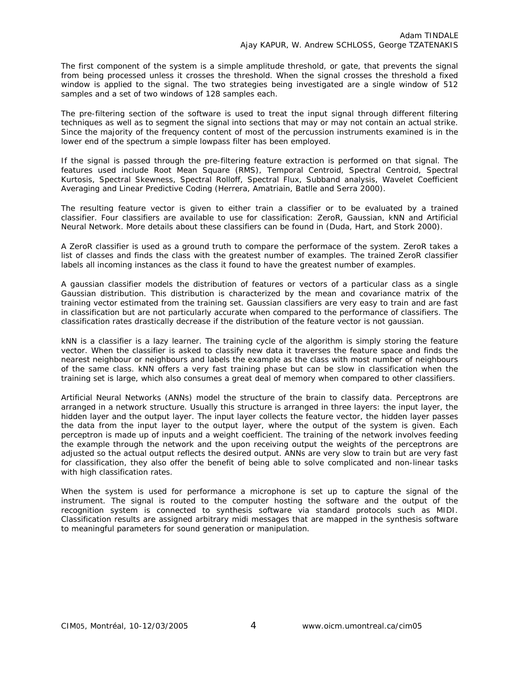The first component of the system is a simple amplitude threshold, or gate, that prevents the signal from being processed unless it crosses the threshold. When the signal crosses the threshold a fixed window is applied to the signal. The two strategies being investigated are a single window of 512 samples and a set of two windows of 128 samples each.

The pre-filtering section of the software is used to treat the input signal through different filtering techniques as well as to segment the signal into sections that may or may not contain an actual strike. Since the majority of the frequency content of most of the percussion instruments examined is in the lower end of the spectrum a simple lowpass filter has been employed.

If the signal is passed through the pre-filtering feature extraction is performed on that signal. The features used include Root Mean Square (RMS), Temporal Centroid, Spectral Centroid, Spectral Kurtosis, Spectral Skewness, Spectral Rolloff, Spectral Flux, Subband analysis, Wavelet Coefficient Averaging and Linear Predictive Coding (Herrera, Amatriain, Batlle and Serra 2000).

The resulting feature vector is given to either train a classifier or to be evaluated by a trained classifier. Four classifiers are available to use for classification: ZeroR, Gaussian, kNN and Artificial Neural Network. More details about these classifiers can be found in (Duda, Hart, and Stork 2000).

A ZeroR classifier is used as a ground truth to compare the performace of the system. ZeroR takes a list of classes and finds the class with the greatest number of examples. The trained ZeroR classifier labels all incoming instances as the class it found to have the greatest number of examples.

A gaussian classifier models the distribution of features or vectors of a particular class as a single Gaussian distribution. This distribution is characterized by the mean and covariance matrix of the training vector estimated from the training set. Gaussian classifiers are very easy to train and are fast in classification but are not particularly accurate when compared to the performance of classifiers. The classification rates drastically decrease if the distribution of the feature vector is not gaussian.

kNN is a classifier is a lazy learner. The training cycle of the algorithm is simply storing the feature vector. When the classifier is asked to classify new data it traverses the feature space and finds the nearest neighbour or neighbours and labels the example as the class with most number of neighbours of the same class. kNN offers a very fast training phase but can be slow in classification when the training set is large, which also consumes a great deal of memory when compared to other classifiers.

Artificial Neural Networks (ANNs) model the structure of the brain to classify data. Perceptrons are arranged in a network structure. Usually this structure is arranged in three layers: the input layer, the hidden layer and the output layer. The input layer collects the feature vector, the hidden layer passes the data from the input layer to the output layer, where the output of the system is given. Each perceptron is made up of inputs and a weight coefficient. The training of the network involves feeding the example through the network and the upon receiving output the weights of the perceptrons are adjusted so the actual output reflects the desired output. ANNs are very slow to train but are very fast for classification, they also offer the benefit of being able to solve complicated and non-linear tasks with high classification rates.

When the system is used for performance a microphone is set up to capture the signal of the instrument. The signal is routed to the computer hosting the software and the output of the recognition system is connected to synthesis software via standard protocols such as MIDI. Classification results are assigned arbitrary midi messages that are mapped in the synthesis software to meaningful parameters for sound generation or manipulation.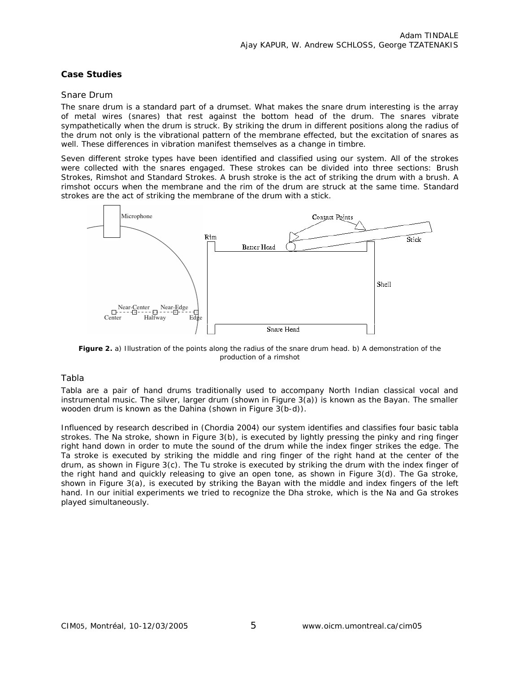#### **Case Studies**

#### *Snare Drum*

The snare drum is a standard part of a drumset. What makes the snare drum interesting is the array of metal wires (snares) that rest against the bottom head of the drum. The snares vibrate sympathetically when the drum is struck. By striking the drum in different positions along the radius of the drum not only is the vibrational pattern of the membrane effected, but the excitation of snares as well. These differences in vibration manifest themselves as a change in timbre.

Seven different stroke types have been identified and classified using our system. All of the strokes were collected with the snares engaged. These strokes can be divided into three sections: Brush Strokes, Rimshot and Standard Strokes. A brush stroke is the act of striking the drum with a brush. A rimshot occurs when the membrane and the rim of the drum are struck at the same time. Standard strokes are the act of striking the membrane of the drum with a stick.



**Figure 2.** a) Illustration of the points along the radius of the snare drum head. b) A demonstration of the production of a rimshot

#### *Tabla*

Tabla are a pair of hand drums traditionally used to accompany North Indian classical vocal and instrumental music. The silver, larger drum (shown in Figure 3(a)) is known as the *Bayan*. The smaller wooden drum is known as the *Dahina* (shown in Figure 3(b-d)).

Influenced by research described in (Chordia 2004) our system identifies and classifies four basic tabla strokes. The *Na* stroke, shown in Figure 3(b), is executed by lightly pressing the pinky and ring finger right hand down in order to mute the sound of the drum while the index finger strikes the edge. The *Ta* stroke is executed by striking the middle and ring finger of the right hand at the center of the drum*,* as shown in Figure 3(c). The *Tu* stroke is executed by striking the drum with the index finger of the right hand and quickly releasing to give an open tone, as shown in Figure 3(d). The *Ga* stroke, shown in Figure 3(a), is executed by striking the *Bayan* with the middle and index fingers of the left hand. In our initial experiments we tried to recognize the *Dha* stroke, which is the *Na* and *Ga* strokes played simultaneously.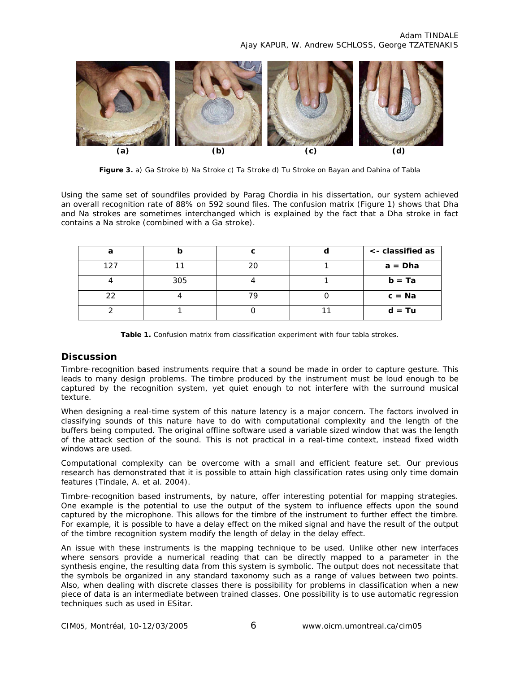

**Figure 3.** a) *Ga* Stroke b) *Na* Stroke c) *Ta* Stroke d) *Tu* Stroke on *Bayan* and *Dahina* of Tabla

Using the same set of soundfiles provided by Parag Chordia in his dissertation, our system achieved an overall recognition rate of 88% on 592 sound files. The confusion matrix (Figure 1) shows that *Dha* and *Na* strokes are sometimes interchanged which is explained by the fact that a *Dha* stroke in fact contains a *Na* stroke (combined with a *Ga* stroke).

|     |     |    | <- classified as |
|-----|-----|----|------------------|
| 127 |     | 20 | $a = Dha$        |
|     | 305 |    | $b = Ta$         |
| າາ  |     |    | $c = Na$         |
|     |     |    | $d = Tu$         |

**Table 1.** Confusion matrix from classification experiment with four tabla strokes.

# **Discussion**

Timbre-recognition based instruments require that a sound be made in order to capture gesture. This leads to many design problems. The timbre produced by the instrument must be loud enough to be captured by the recognition system, yet quiet enough to not interfere with the surround musical texture.

When designing a real-time system of this nature latency is a major concern. The factors involved in classifying sounds of this nature have to do with computational complexity and the length of the buffers being computed. The original offline software used a variable sized window that was the length of the attack section of the sound. This is not practical in a real-time context, instead fixed width windows are used.

Computational complexity can be overcome with a small and efficient feature set. Our previous research has demonstrated that it is possible to attain high classification rates using only time domain features (Tindale, A. et al. 2004).

Timbre-recognition based instruments, by nature, offer interesting potential for mapping strategies. One example is the potential to use the output of the system to influence effects upon the sound captured by the microphone. This allows for the timbre of the instrument to further effect the timbre. For example, it is possible to have a delay effect on the miked signal and have the result of the output of the timbre recognition system modify the length of delay in the delay effect.

An issue with these instruments is the mapping technique to be used. Unlike other new interfaces where sensors provide a numerical reading that can be directly mapped to a parameter in the synthesis engine, the resulting data from this system is symbolic. The output does not necessitate that the symbols be organized in any standard taxonomy such as a range of values between two points. Also, when dealing with discrete classes there is possibility for problems in classification when a new piece of data is an intermediate between trained classes. One possibility is to use automatic regression techniques such as used in ESitar.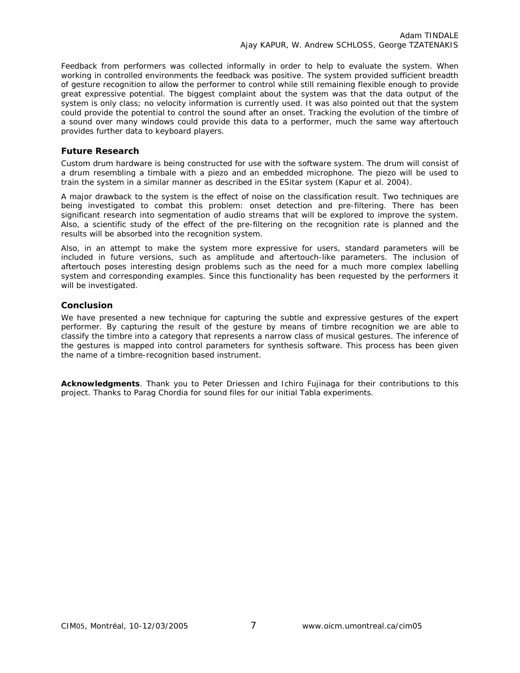Feedback from performers was collected informally in order to help to evaluate the system. When working in controlled environments the feedback was positive. The system provided sufficient breadth of gesture recognition to allow the performer to control while still remaining flexible enough to provide great expressive potential. The biggest complaint about the system was that the data output of the system is only class; no velocity information is currently used. It was also pointed out that the system could provide the potential to control the sound after an onset. Tracking the evolution of the timbre of a sound over many windows could provide this data to a performer, much the same way aftertouch provides further data to keyboard players.

#### **Future Research**

Custom drum hardware is being constructed for use with the software system. The drum will consist of a drum resembling a timbale with a piezo and an embedded microphone. The piezo will be used to train the system in a similar manner as described in the ESitar system (Kapur et al. 2004).

A major drawback to the system is the effect of noise on the classification result. Two techniques are being investigated to combat this problem: onset detection and pre-filtering. There has been significant research into segmentation of audio streams that will be explored to improve the system. Also, a scientific study of the effect of the pre-filtering on the recognition rate is planned and the results will be absorbed into the recognition system.

Also, in an attempt to make the system more expressive for users, standard parameters will be included in future versions, such as amplitude and aftertouch-like parameters. The inclusion of aftertouch poses interesting design problems such as the need for a much more complex labelling system and corresponding examples. Since this functionality has been requested by the performers it will be investigated.

#### **Conclusion**

We have presented a new technique for capturing the subtle and expressive gestures of the expert performer. By capturing the result of the gesture by means of timbre recognition we are able to classify the timbre into a category that represents a narrow class of musical gestures. The inference of the gestures is mapped into control parameters for synthesis software. This process has been given the name of a timbre-recognition based instrument.

**Acknowledgments**. Thank you to Peter Driessen and Ichiro Fujinaga for their contributions to this project. Thanks to Parag Chordia for sound files for our initial Tabla experiments.